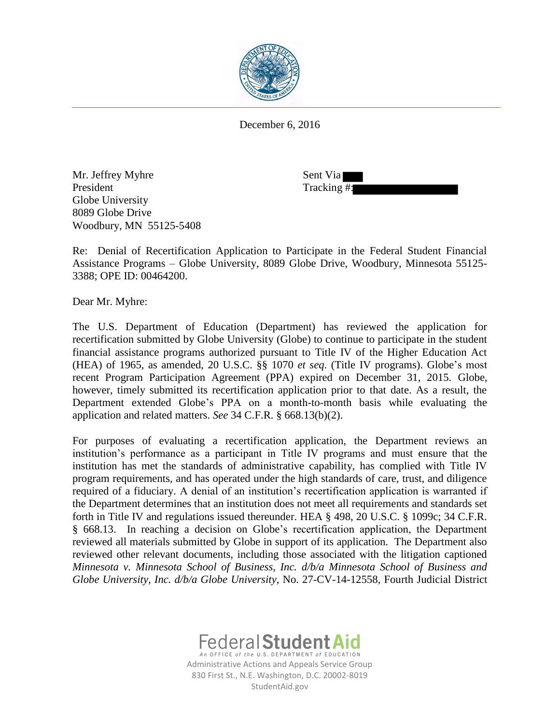

December 6, 2016

Mr. Jeffrey Myhre Sent Via President Tracking #: Globe University 8089 Globe Drive Woodbury, MN 55125-5408

Re: Denial of Recertification Application to Participate in the Federal Student Financial Assistance Programs – Globe University, 8089 Globe Drive, Woodbury, Minnesota 55125- 3388; OPE ID: 00464200.

Dear Mr. Myhre:

The U.S. Department of Education (Department) has reviewed the application for recertification submitted by Globe University (Globe) to continue to participate in the student financial assistance programs authorized pursuant to Title IV of the Higher Education Act (HEA) of 1965, as amended, 20 U.S.C. §§ 1070 *et seq*. (Title IV programs). Globe's most recent Program Participation Agreement (PPA) expired on December 31, 2015. Globe, however, timely submitted its recertification application prior to that date. As a result, the Department extended Globe's PPA on a month-to-month basis while evaluating the application and related matters. *See* 34 C.F.R. § 668.13(b)(2).

For purposes of evaluating a recertification application, the Department reviews an institution's performance as a participant in Title IV programs and must ensure that the institution has met the standards of administrative capability, has complied with Title IV program requirements, and has operated under the high standards of care, trust, and diligence required of a fiduciary. A denial of an institution's recertification application is warranted if the Department determines that an institution does not meet all requirements and standards set forth in Title IV and regulations issued thereunder. HEA § 498, 20 U.S.C. § 1099c; 34 C.F.R. § 668.13. In reaching a decision on Globe's recertification application, the Department reviewed all materials submitted by Globe in support of its application. The Department also reviewed other relevant documents, including those associated with the litigation captioned *Minnesota v. Minnesota School of Business, Inc. d/b/a Minnesota School of Business and Globe University, Inc. d/b/a Globe University*, No. 27-CV-14-12558, Fourth Judicial District



Administrative Actions and Appeals Service Group 830 First St., N.E. Washington, D.C. 20002-8019 StudentAid.gov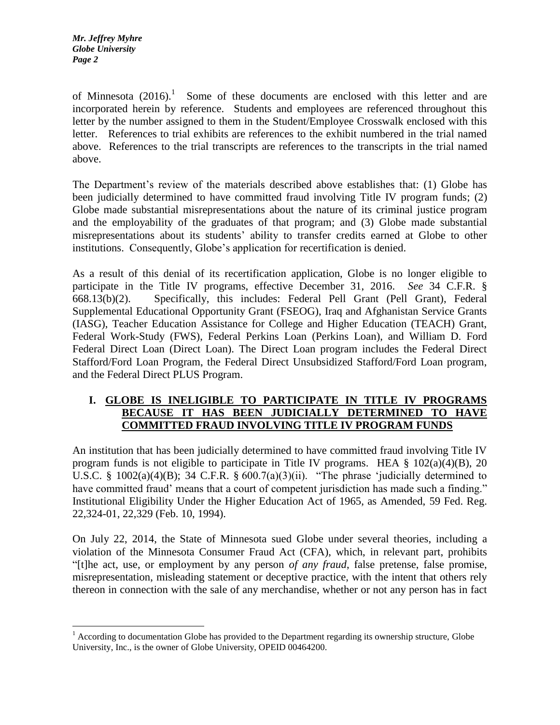$\overline{a}$ 

of Minnesota  $(2016).$ <sup>1</sup> Some of these documents are enclosed with this letter and are incorporated herein by reference. Students and employees are referenced throughout this letter by the number assigned to them in the Student/Employee Crosswalk enclosed with this letter. References to trial exhibits are references to the exhibit numbered in the trial named above. References to the trial transcripts are references to the transcripts in the trial named above.

The Department's review of the materials described above establishes that: (1) Globe has been judicially determined to have committed fraud involving Title IV program funds; (2) Globe made substantial misrepresentations about the nature of its criminal justice program and the employability of the graduates of that program; and (3) Globe made substantial misrepresentations about its students' ability to transfer credits earned at Globe to other institutions. Consequently, Globe's application for recertification is denied.

As a result of this denial of its recertification application, Globe is no longer eligible to participate in the Title IV programs, effective December 31, 2016. *See* 34 C.F.R. § 668.13(b)(2). Specifically, this includes: Federal Pell Grant (Pell Grant), Federal Supplemental Educational Opportunity Grant (FSEOG), Iraq and Afghanistan Service Grants (IASG), Teacher Education Assistance for College and Higher Education (TEACH) Grant, Federal Work-Study (FWS), Federal Perkins Loan (Perkins Loan), and William D. Ford Federal Direct Loan (Direct Loan). The Direct Loan program includes the Federal Direct Stafford/Ford Loan Program, the Federal Direct Unsubsidized Stafford/Ford Loan program, and the Federal Direct PLUS Program.

## **I. GLOBE IS INELIGIBLE TO PARTICIPATE IN TITLE IV PROGRAMS BECAUSE IT HAS BEEN JUDICIALLY DETERMINED TO HAVE COMMITTED FRAUD INVOLVING TITLE IV PROGRAM FUNDS**

An institution that has been judicially determined to have committed fraud involving Title IV program funds is not eligible to participate in Title IV programs. HEA  $\S$  102(a)(4)(B), 20 U.S.C. § 1002(a)(4)(B); 34 C.F.R. §  $600.7(a)(3)(ii)$ . "The phrase 'judicially determined to have committed fraud' means that a court of competent jurisdiction has made such a finding." Institutional Eligibility Under the Higher Education Act of 1965, as Amended, 59 Fed. Reg. 22,324-01, 22,329 (Feb. 10, 1994).

On July 22, 2014, the State of Minnesota sued Globe under several theories, including a violation of the Minnesota Consumer Fraud Act (CFA), which, in relevant part, prohibits "[t]he act, use, or employment by any person *of any fraud*, false pretense, false promise, misrepresentation, misleading statement or deceptive practice, with the intent that others rely thereon in connection with the sale of any merchandise, whether or not any person has in fact

 $<sup>1</sup>$  According to documentation Globe has provided to the Department regarding its ownership structure, Globe</sup> University, Inc., is the owner of Globe University, OPEID 00464200.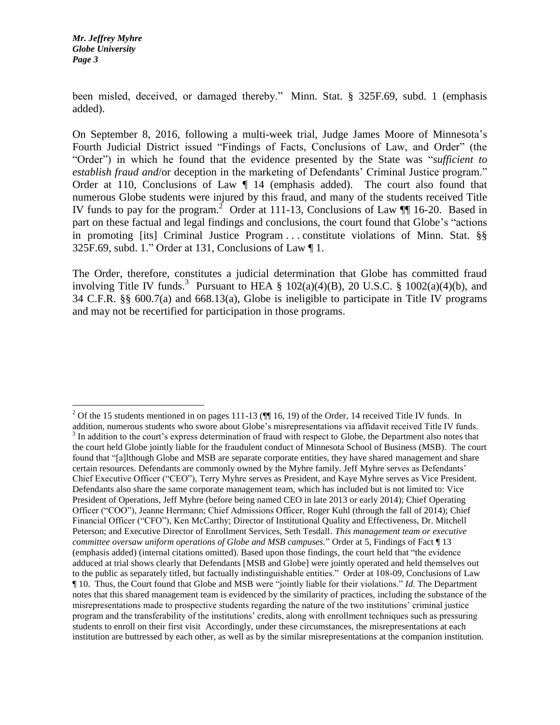$\overline{a}$ 

been misled, deceived, or damaged thereby." Minn. Stat. § 325F.69, subd. 1 (emphasis added).

On September 8, 2016, following a multi-week trial, Judge James Moore of Minnesota's Fourth Judicial District issued "Findings of Facts, Conclusions of Law, and Order" (the "Order") in which he found that the evidence presented by the State was "*sufficient to establish fraud and*/or deception in the marketing of Defendants' Criminal Justice program." Order at 110, Conclusions of Law  $\P$  14 (emphasis added). The court also found that numerous Globe students were injured by this fraud, and many of the students received Title IV funds to pay for the program.<sup>2</sup> Order at 111-13, Conclusions of Law  $\P$  16-20. Based in part on these factual and legal findings and conclusions, the court found that Globe's "actions in promoting [its] Criminal Justice Program . . . constitute violations of Minn. Stat. §§ 325F.69, subd. 1." Order at 131, Conclusions of Law  $\P$ 1.

The Order, therefore, constitutes a judicial determination that Globe has committed fraud involving Title IV funds.<sup>3</sup> Pursuant to HEA § 102(a)(4)(B), 20 U.S.C. § 1002(a)(4)(b), and 34 C.F.R. §§ 600.7(a) and 668.13(a), Globe is ineligible to participate in Title IV programs and may not be recertified for participation in those programs.

<sup>&</sup>lt;sup>2</sup> Of the 15 students mentioned in on pages 111-13 ( $\blacksquare$  16, 19) of the Order, 14 received Title IV funds. In addition, numerous students who swore about Globe's misrepresentations via affidavit received Title IV funds.  $3$  In addition to the court's express determination of fraud with respect to Globe, the Department also notes that the court held Globe jointly liable for the fraudulent conduct of Minnesota School of Business (MSB). The court found that "[a]lthough Globe and MSB are separate corporate entities, they have shared management and share certain resources. Defendants are commonly owned by the Myhre family. Jeff Myhre serves as Defendants' Chief Executive Officer ("CEO"), Terry Myhre serves as President, and Kaye Myhre serves as Vice President. Defendants also share the same corporate management team, which has included but is not limited to: Vice President of Operations, Jeff Myhre (before being named CEO in late 2013 or early 2014); Chief Operating Officer ("COO"), Jeanne Herrmann; Chief Admissions Officer, Roger Kuhl (through the fall of 2014); Chief Financial Officer ("CFO"), Ken McCarthy; Director of Institutional Quality and Effectiveness, Dr. Mitchell Peterson; and Executive Director of Enrollment Services, Seth Tesdall. *This management team or executive committee oversaw uniform operations of Globe and MSB campuses.*" Order at 5, Findings of Fact ¶ 13 (emphasis added) (internal citations omitted). Based upon those findings, the court held that "the evidence adduced at trial shows clearly that Defendants [MSB and Globe] were jointly operated and held themselves out to the public as separately titled, but factually indistinguishable entities." Order at 108-09, Conclusions of Law ¶ 10. Thus, the Court found that Globe and MSB were "jointly liable for their violations." *Id.* The Department notes that this shared management team is evidenced by the similarity of practices, including the substance of the misrepresentations made to prospective students regarding the nature of the two institutions' criminal justice program and the transferability of the institutions' credits, along with enrollment techniques such as pressuring students to enroll on their first visit Accordingly, under these circumstances, the misrepresentations at each institution are buttressed by each other, as well as by the similar misrepresentations at the companion institution.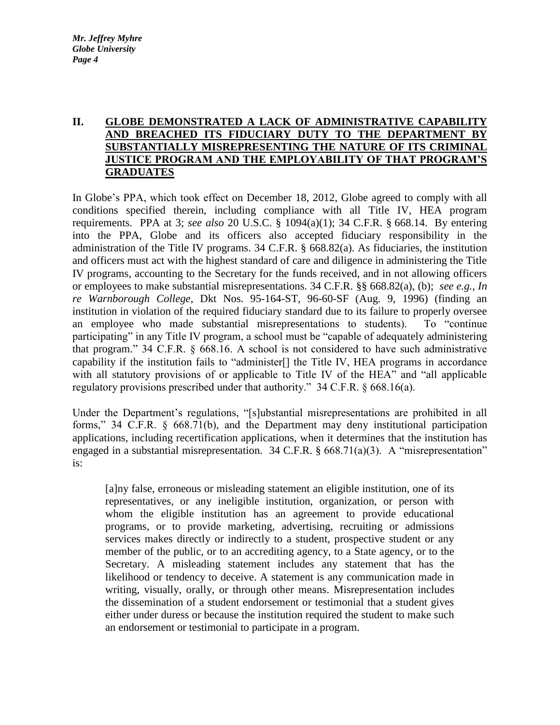# **II. GLOBE DEMONSTRATED A LACK OF ADMINISTRATIVE CAPABILITY AND BREACHED ITS FIDUCIARY DUTY TO THE DEPARTMENT BY SUBSTANTIALLY MISREPRESENTING THE NATURE OF ITS CRIMINAL JUSTICE PROGRAM AND THE EMPLOYABILITY OF THAT PROGRAM'S GRADUATES**

In Globe's PPA, which took effect on December 18, 2012, Globe agreed to comply with all conditions specified therein, including compliance with all Title IV, HEA program requirements. PPA at 3; *see also* 20 U.S.C. § 1094(a)(1); 34 C.F.R. § 668.14. By entering into the PPA, Globe and its officers also accepted fiduciary responsibility in the administration of the Title IV programs. 34 C.F.R. § 668.82(a). As fiduciaries, the institution and officers must act with the highest standard of care and diligence in administering the Title IV programs, accounting to the Secretary for the funds received, and in not allowing officers or employees to make substantial misrepresentations. 34 C.F.R. §§ 668.82(a), (b); *see e.g., In re Warnborough College*, Dkt Nos. 95-164-ST, 96-60-SF (Aug. 9, 1996) (finding an institution in violation of the required fiduciary standard due to its failure to properly oversee an employee who made substantial misrepresentations to students). To "continue participating" in any Title IV program, a school must be "capable of adequately administering that program." 34 C.F.R. § 668.16. A school is not considered to have such administrative capability if the institution fails to "administer[] the Title IV, HEA programs in accordance with all statutory provisions of or applicable to Title IV of the HEA" and "all applicable regulatory provisions prescribed under that authority." 34 C.F.R. § 668.16(a).

Under the Department's regulations, "[s]ubstantial misrepresentations are prohibited in all forms," 34 C.F.R. § 668.71(b), and the Department may deny institutional participation applications, including recertification applications, when it determines that the institution has engaged in a substantial misrepresentation. 34 C.F.R.  $\S$  668.71(a)(3). A "misrepresentation" is:

[a]ny false, erroneous or misleading statement an eligible institution, one of its representatives, or any ineligible institution, organization, or person with whom the eligible institution has an agreement to provide educational programs, or to provide marketing, advertising, recruiting or admissions services makes directly or indirectly to a student, prospective student or any member of the public, or to an accrediting agency, to a State agency, or to the Secretary. A misleading statement includes any statement that has the likelihood or tendency to deceive. A statement is any communication made in writing, visually, orally, or through other means. Misrepresentation includes the dissemination of a student endorsement or testimonial that a student gives either under duress or because the institution required the student to make such an endorsement or testimonial to participate in a program.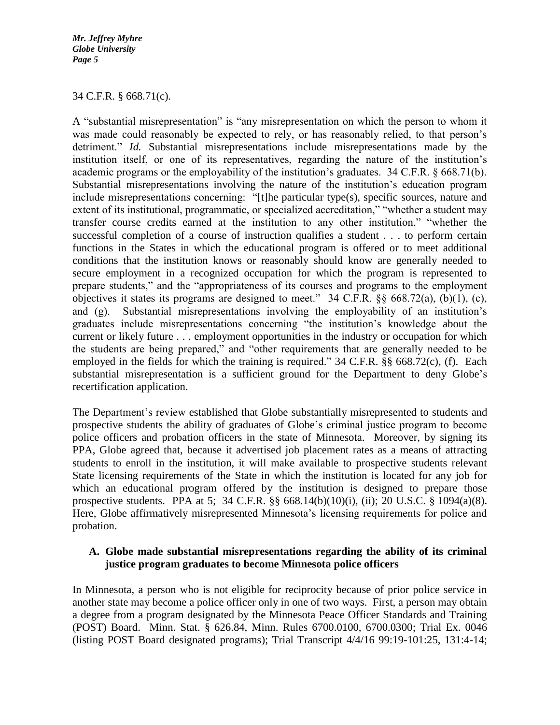#### 34 C.F.R. § 668.71(c).

A "substantial misrepresentation" is "any misrepresentation on which the person to whom it was made could reasonably be expected to rely, or has reasonably relied, to that person's detriment." *Id.* Substantial misrepresentations include misrepresentations made by the institution itself, or one of its representatives, regarding the nature of the institution's academic programs or the employability of the institution's graduates. 34 C.F.R. § 668.71(b). Substantial misrepresentations involving the nature of the institution's education program include misrepresentations concerning: "[t]he particular type(s), specific sources, nature and extent of its institutional, programmatic, or specialized accreditation," "whether a student may transfer course credits earned at the institution to any other institution," "whether the successful completion of a course of instruction qualifies a student . . . to perform certain functions in the States in which the educational program is offered or to meet additional conditions that the institution knows or reasonably should know are generally needed to secure employment in a recognized occupation for which the program is represented to prepare students," and the "appropriateness of its courses and programs to the employment objectives it states its programs are designed to meet." 34 C.F.R.  $\S$ § 668.72(a), (b)(1), (c), and (g). Substantial misrepresentations involving the employability of an institution's graduates include misrepresentations concerning "the institution's knowledge about the current or likely future . . . employment opportunities in the industry or occupation for which the students are being prepared," and "other requirements that are generally needed to be employed in the fields for which the training is required." 34 C.F.R. §§ 668.72(c), (f). Each substantial misrepresentation is a sufficient ground for the Department to deny Globe's recertification application.

The Department's review established that Globe substantially misrepresented to students and prospective students the ability of graduates of Globe's criminal justice program to become police officers and probation officers in the state of Minnesota. Moreover, by signing its PPA, Globe agreed that, because it advertised job placement rates as a means of attracting students to enroll in the institution, it will make available to prospective students relevant State licensing requirements of the State in which the institution is located for any job for which an educational program offered by the institution is designed to prepare those prospective students. PPA at 5; 34 C.F.R. §§ 668.14(b)(10)(i), (ii); 20 U.S.C. § 1094(a)(8). Here, Globe affirmatively misrepresented Minnesota's licensing requirements for police and probation.

## **A. Globe made substantial misrepresentations regarding the ability of its criminal justice program graduates to become Minnesota police officers**

In Minnesota, a person who is not eligible for reciprocity because of prior police service in another state may become a police officer only in one of two ways. First, a person may obtain a degree from a program designated by the Minnesota Peace Officer Standards and Training (POST) Board. Minn. Stat. § 626.84, Minn. Rules 6700.0100, 6700.0300; Trial Ex. 0046 (listing POST Board designated programs); Trial Transcript 4/4/16 99:19-101:25, 131:4-14;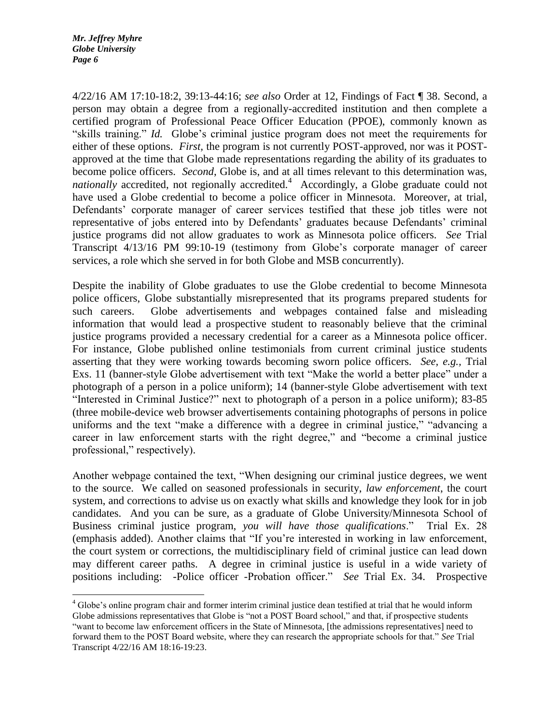$\overline{a}$ 

4/22/16 AM 17:10-18:2, 39:13-44:16; *see also* Order at 12, Findings of Fact ¶ 38. Second, a person may obtain a degree from a regionally-accredited institution and then complete a certified program of Professional Peace Officer Education (PPOE), commonly known as "skills training." *Id.* Globe's criminal justice program does not meet the requirements for either of these options. *First,* the program is not currently POST-approved, nor was it POSTapproved at the time that Globe made representations regarding the ability of its graduates to become police officers. *Second*, Globe is, and at all times relevant to this determination was, nationally accredited, not regionally accredited.<sup>4</sup> Accordingly, a Globe graduate could not have used a Globe credential to become a police officer in Minnesota. Moreover, at trial, Defendants' corporate manager of career services testified that these job titles were not representative of jobs entered into by Defendants' graduates because Defendants' criminal justice programs did not allow graduates to work as Minnesota police officers. *See* Trial Transcript 4/13/16 PM 99:10-19 (testimony from Globe's corporate manager of career services, a role which she served in for both Globe and MSB concurrently).

Despite the inability of Globe graduates to use the Globe credential to become Minnesota police officers, Globe substantially misrepresented that its programs prepared students for such careers. Globe advertisements and webpages contained false and misleading information that would lead a prospective student to reasonably believe that the criminal justice programs provided a necessary credential for a career as a Minnesota police officer. For instance, Globe published online testimonials from current criminal justice students asserting that they were working towards becoming sworn police officers. *See, e.g.,* Trial Exs. 11 (banner-style Globe advertisement with text "Make the world a better place" under a photograph of a person in a police uniform); 14 (banner-style Globe advertisement with text "Interested in Criminal Justice?" next to photograph of a person in a police uniform); 83-85 (three mobile-device web browser advertisements containing photographs of persons in police uniforms and the text "make a difference with a degree in criminal justice," "advancing a career in law enforcement starts with the right degree," and "become a criminal justice professional," respectively).

Another webpage contained the text, "When designing our criminal justice degrees, we went to the source. We called on seasoned professionals in security, *law enforcement*, the court system, and corrections to advise us on exactly what skills and knowledge they look for in job candidates. And you can be sure, as a graduate of Globe University/Minnesota School of Business criminal justice program, *you will have those qualifications*." Trial Ex. 28 (emphasis added). Another claims that "If you're interested in working in law enforcement, the court system or corrections, the multidisciplinary field of criminal justice can lead down may different career paths. A degree in criminal justice is useful in a wide variety of positions including: -Police officer -Probation officer." *See* Trial Ex. 34. Prospective

<sup>&</sup>lt;sup>4</sup> Globe's online program chair and former interim criminal justice dean testified at trial that he would inform Globe admissions representatives that Globe is "not a POST Board school," and that, if prospective students "want to become law enforcement officers in the State of Minnesota, [the admissions representatives] need to forward them to the POST Board website, where they can research the appropriate schools for that." *See* Trial Transcript 4/22/16 AM 18:16-19:23.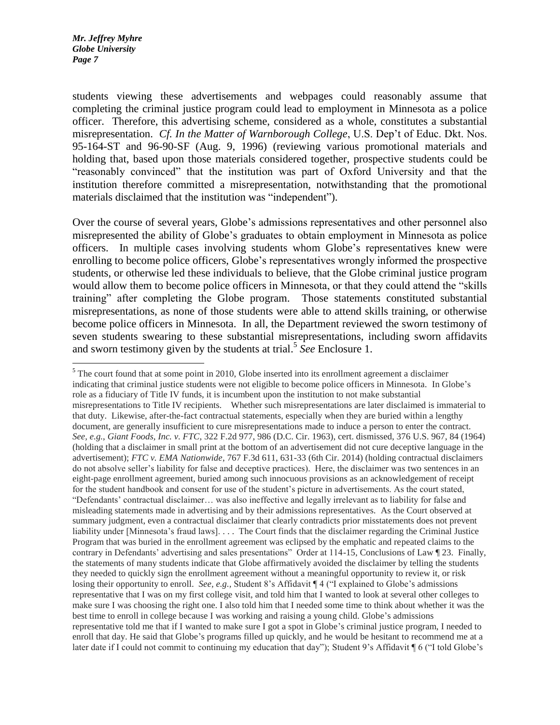$\overline{a}$ 

students viewing these advertisements and webpages could reasonably assume that completing the criminal justice program could lead to employment in Minnesota as a police officer. Therefore, this advertising scheme, considered as a whole, constitutes a substantial misrepresentation. *Cf. In the Matter of Warnborough College*, U.S. Dep't of Educ. Dkt. Nos. 95-164-ST and 96-90-SF (Aug. 9, 1996) (reviewing various promotional materials and holding that, based upon those materials considered together, prospective students could be "reasonably convinced" that the institution was part of Oxford University and that the institution therefore committed a misrepresentation, notwithstanding that the promotional materials disclaimed that the institution was "independent").

Over the course of several years, Globe's admissions representatives and other personnel also misrepresented the ability of Globe's graduates to obtain employment in Minnesota as police officers. In multiple cases involving students whom Globe's representatives knew were enrolling to become police officers, Globe's representatives wrongly informed the prospective students, or otherwise led these individuals to believe, that the Globe criminal justice program would allow them to become police officers in Minnesota, or that they could attend the "skills training" after completing the Globe program. Those statements constituted substantial misrepresentations, as none of those students were able to attend skills training, or otherwise become police officers in Minnesota. In all, the Department reviewed the sworn testimony of seven students swearing to these substantial misrepresentations, including sworn affidavits and sworn testimony given by the students at trial. 5 *See* Enclosure 1.

<sup>&</sup>lt;sup>5</sup> The court found that at some point in 2010, Globe inserted into its enrollment agreement a disclaimer indicating that criminal justice students were not eligible to become police officers in Minnesota. In Globe's role as a fiduciary of Title IV funds, it is incumbent upon the institution to not make substantial misrepresentations to Title IV recipients. Whether such misrepresentations are later disclaimed is immaterial to that duty. Likewise, after-the-fact contractual statements, especially when they are buried within a lengthy document, are generally insufficient to cure misrepresentations made to induce a person to enter the contract. *See, e.g.*, *Giant Foods, Inc. v. FTC*, 322 F.2d 977, 986 (D.C. Cir. 1963), cert. dismissed, 376 U.S. 967, 84 (1964) (holding that a disclaimer in small print at the bottom of an advertisement did not cure deceptive language in the advertisement); *FTC v. EMA Nationwide*, 767 F.3d 611, 631-33 (6th Cir. 2014) (holding contractual disclaimers do not absolve seller's liability for false and deceptive practices). Here, the disclaimer was two sentences in an eight-page enrollment agreement, buried among such innocuous provisions as an acknowledgement of receipt for the student handbook and consent for use of the student's picture in advertisements. As the court stated, "Defendants' contractual disclaimer… was also ineffective and legally irrelevant as to liability for false and misleading statements made in advertising and by their admissions representatives. As the Court observed at summary judgment, even a contractual disclaimer that clearly contradicts prior misstatements does not prevent liability under [Minnesota's fraud laws]. . . . The Court finds that the disclaimer regarding the Criminal Justice Program that was buried in the enrollment agreement was eclipsed by the emphatic and repeated claims to the contrary in Defendants' advertising and sales presentations" Order at 114-15, Conclusions of Law ¶ 23. Finally, the statements of many students indicate that Globe affirmatively avoided the disclaimer by telling the students they needed to quickly sign the enrollment agreement without a meaningful opportunity to review it, or risk losing their opportunity to enroll. *See, e.g.,* Student 8's Affidavit ¶ 4 ("I explained to Globe's admissions representative that I was on my first college visit, and told him that I wanted to look at several other colleges to make sure I was choosing the right one. I also told him that I needed some time to think about whether it was the best time to enroll in college because I was working and raising a young child. Globe's admissions representative told me that if I wanted to make sure I got a spot in Globe's criminal justice program, I needed to enroll that day. He said that Globe's programs filled up quickly, and he would be hesitant to recommend me at a later date if I could not commit to continuing my education that day"); Student 9's Affidavit ¶ 6 ("I told Globe's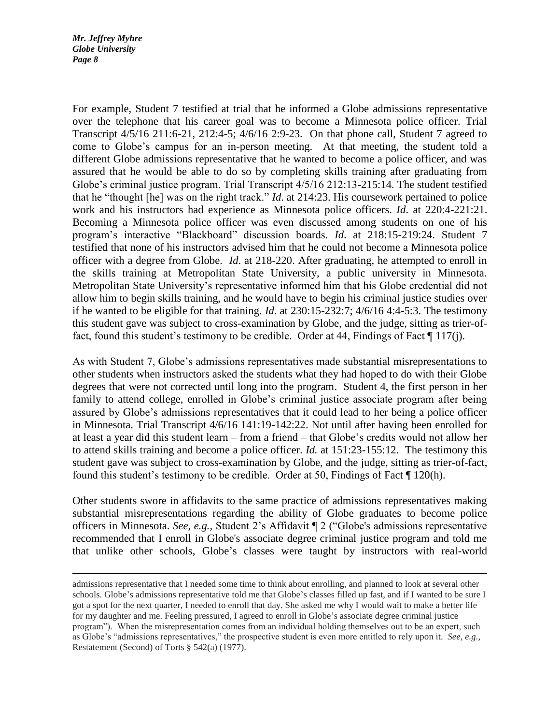$\overline{a}$ 

For example, Student 7 testified at trial that he informed a Globe admissions representative over the telephone that his career goal was to become a Minnesota police officer. Trial Transcript 4/5/16 211:6-21, 212:4-5; 4/6/16 2:9-23. On that phone call, Student 7 agreed to come to Globe's campus for an in-person meeting. At that meeting, the student told a different Globe admissions representative that he wanted to become a police officer, and was assured that he would be able to do so by completing skills training after graduating from Globe's criminal justice program. Trial Transcript 4/5/16 212:13-215:14. The student testified that he "thought [he] was on the right track." *Id*. at 214:23. His coursework pertained to police work and his instructors had experience as Minnesota police officers. *Id*. at 220:4-221:21. Becoming a Minnesota police officer was even discussed among students on one of his program's interactive "Blackboard" discussion boards. *Id*. at 218:15-219:24. Student 7 testified that none of his instructors advised him that he could not become a Minnesota police officer with a degree from Globe. *Id*. at 218-220. After graduating, he attempted to enroll in the skills training at Metropolitan State University, a public university in Minnesota. Metropolitan State University's representative informed him that his Globe credential did not allow him to begin skills training, and he would have to begin his criminal justice studies over if he wanted to be eligible for that training. *Id*. at 230:15-232:7; 4/6/16 4:4-5:3. The testimony this student gave was subject to cross-examination by Globe, and the judge, sitting as trier-offact, found this student's testimony to be credible. Order at 44, Findings of Fact [117(j).

As with Student 7, Globe's admissions representatives made substantial misrepresentations to other students when instructors asked the students what they had hoped to do with their Globe degrees that were not corrected until long into the program. Student 4, the first person in her family to attend college, enrolled in Globe's criminal justice associate program after being assured by Globe's admissions representatives that it could lead to her being a police officer in Minnesota. Trial Transcript 4/6/16 141:19-142:22. Not until after having been enrolled for at least a year did this student learn – from a friend – that Globe's credits would not allow her to attend skills training and become a police officer. *Id.* at 151:23-155:12. The testimony this student gave was subject to cross-examination by Globe, and the judge, sitting as trier-of-fact, found this student's testimony to be credible. Order at 50, Findings of Fact ¶ 120(h).

Other students swore in affidavits to the same practice of admissions representatives making substantial misrepresentations regarding the ability of Globe graduates to become police officers in Minnesota. *See, e.g.,* Student 2's Affidavit ¶ 2 ("Globe's admissions representative recommended that I enroll in Globe's associate degree criminal justice program and told me that unlike other schools, Globe's classes were taught by instructors with real-world

admissions representative that I needed some time to think about enrolling, and planned to look at several other schools. Globe's admissions representative told me that Globe's classes filled up fast, and if I wanted to be sure I got a spot for the next quarter, I needed to enroll that day. She asked me why I would wait to make a better life for my daughter and me. Feeling pressured, I agreed to enroll in Globe's associate degree criminal justice program"). When the misrepresentation comes from an individual holding themselves out to be an expert, such as Globe's "admissions representatives," the prospective student is even more entitled to rely upon it. *See, e.g.,* Restatement (Second) of Torts § 542(a) (1977).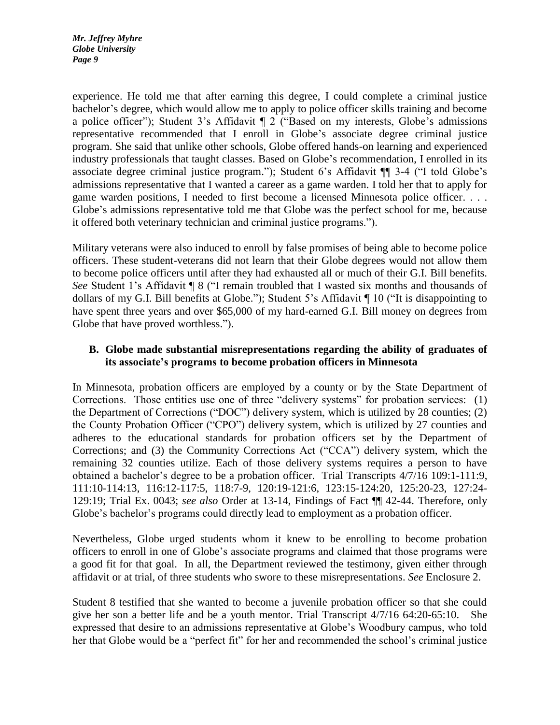experience. He told me that after earning this degree, I could complete a criminal justice bachelor's degree, which would allow me to apply to police officer skills training and become a police officer"); Student 3's Affidavit ¶ 2 ("Based on my interests, Globe's admissions representative recommended that I enroll in Globe's associate degree criminal justice program. She said that unlike other schools, Globe offered hands-on learning and experienced industry professionals that taught classes. Based on Globe's recommendation, I enrolled in its associate degree criminal justice program."); Student 6's Affidavit ¶¶ 3-4 ("I told Globe's admissions representative that I wanted a career as a game warden. I told her that to apply for game warden positions, I needed to first become a licensed Minnesota police officer. . . . Globe's admissions representative told me that Globe was the perfect school for me, because it offered both veterinary technician and criminal justice programs.").

Military veterans were also induced to enroll by false promises of being able to become police officers. These student-veterans did not learn that their Globe degrees would not allow them to become police officers until after they had exhausted all or much of their G.I. Bill benefits. *See* Student 1's Affidavit ¶ 8 ("I remain troubled that I wasted six months and thousands of dollars of my G.I. Bill benefits at Globe."); Student 5's Affidavit ¶ 10 ("It is disappointing to have spent three years and over \$65,000 of my hard-earned G.I. Bill money on degrees from Globe that have proved worthless.").

# **B. Globe made substantial misrepresentations regarding the ability of graduates of its associate's programs to become probation officers in Minnesota**

In Minnesota, probation officers are employed by a county or by the State Department of Corrections. Those entities use one of three "delivery systems" for probation services: (1) the Department of Corrections ("DOC") delivery system, which is utilized by 28 counties; (2) the County Probation Officer ("CPO") delivery system, which is utilized by 27 counties and adheres to the educational standards for probation officers set by the Department of Corrections; and (3) the Community Corrections Act ("CCA") delivery system, which the remaining 32 counties utilize. Each of those delivery systems requires a person to have obtained a bachelor's degree to be a probation officer. Trial Transcripts 4/7/16 109:1-111:9, 111:10-114:13, 116:12-117:5, 118:7-9, 120:19-121:6, 123:15-124:20, 125:20-23, 127:24- 129:19; Trial Ex. 0043; *see also* Order at 13-14, Findings of Fact ¶¶ 42-44. Therefore, only Globe's bachelor's programs could directly lead to employment as a probation officer.

Nevertheless, Globe urged students whom it knew to be enrolling to become probation officers to enroll in one of Globe's associate programs and claimed that those programs were a good fit for that goal. In all, the Department reviewed the testimony, given either through affidavit or at trial, of three students who swore to these misrepresentations. *See* Enclosure 2.

Student 8 testified that she wanted to become a juvenile probation officer so that she could give her son a better life and be a youth mentor. Trial Transcript 4/7/16 64:20-65:10. She expressed that desire to an admissions representative at Globe's Woodbury campus, who told her that Globe would be a "perfect fit" for her and recommended the school's criminal justice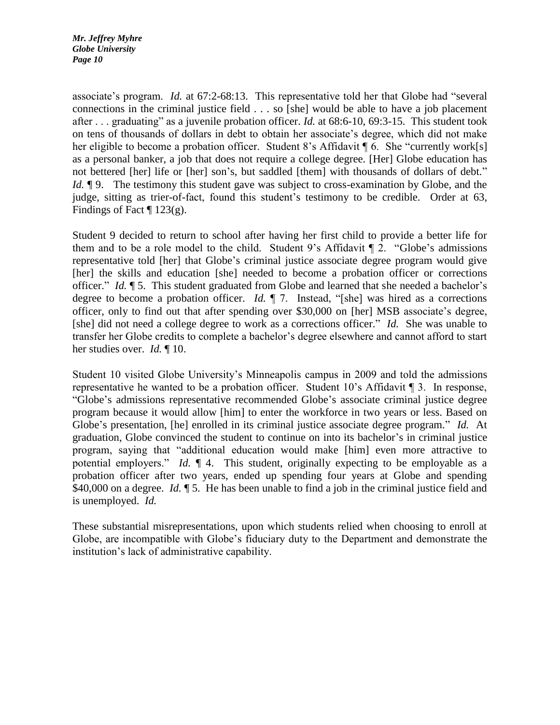associate's program. *Id.* at 67:2-68:13. This representative told her that Globe had "several connections in the criminal justice field . . . so [she] would be able to have a job placement after . . . graduating" as a juvenile probation officer. *Id.* at 68:6-10, 69:3-15. This student took on tens of thousands of dollars in debt to obtain her associate's degree, which did not make her eligible to become a probation officer. Student 8's Affidavit ¶ 6. She "currently work[s] as a personal banker, a job that does not require a college degree. [Her] Globe education has not bettered [her] life or [her] son's, but saddled [them] with thousands of dollars of debt." *Id.*  $\phi$  9. The testimony this student gave was subject to cross-examination by Globe, and the judge, sitting as trier-of-fact, found this student's testimony to be credible. Order at 63, Findings of Fact  $\P$  123(g).

Student 9 decided to return to school after having her first child to provide a better life for them and to be a role model to the child. Student 9's Affidavit  $\P$  2. "Globe's admissions representative told [her] that Globe's criminal justice associate degree program would give [her] the skills and education [she] needed to become a probation officer or corrections officer." *Id.* ¶ 5. This student graduated from Globe and learned that she needed a bachelor's degree to become a probation officer. *Id.* ¶ 7. Instead, "[she] was hired as a corrections officer, only to find out that after spending over \$30,000 on [her] MSB associate's degree, [she] did not need a college degree to work as a corrections officer." *Id.* She was unable to transfer her Globe credits to complete a bachelor's degree elsewhere and cannot afford to start her studies over. *Id.* ¶ 10.

Student 10 visited Globe University's Minneapolis campus in 2009 and told the admissions representative he wanted to be a probation officer. Student 10's Affidavit ¶ 3. In response, "Globe's admissions representative recommended Globe's associate criminal justice degree program because it would allow [him] to enter the workforce in two years or less. Based on Globe's presentation, [he] enrolled in its criminal justice associate degree program." *Id.* At graduation, Globe convinced the student to continue on into its bachelor's in criminal justice program, saying that "additional education would make [him] even more attractive to potential employers." *Id.* ¶ 4. This student, originally expecting to be employable as a probation officer after two years, ended up spending four years at Globe and spending \$40,000 on a degree. *Id.*  $\parallel$  5. He has been unable to find a job in the criminal justice field and is unemployed. *Id.* 

These substantial misrepresentations, upon which students relied when choosing to enroll at Globe, are incompatible with Globe's fiduciary duty to the Department and demonstrate the institution's lack of administrative capability.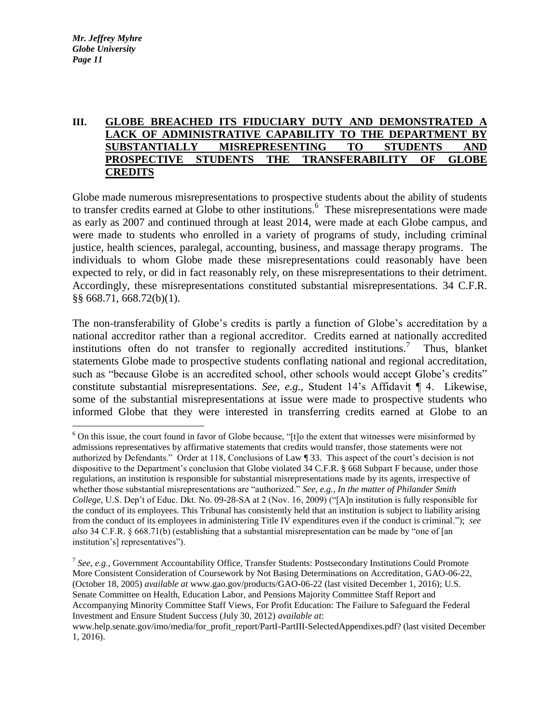$\overline{a}$ 

# **III. GLOBE BREACHED ITS FIDUCIARY DUTY AND DEMONSTRATED A LACK OF ADMINISTRATIVE CAPABILITY TO THE DEPARTMENT BY SUBSTANTIALLY MISREPRESENTING TO STUDENTS AND PROSPECTIVE STUDENTS THE TRANSFERABILITY OF GLOBE CREDITS**

Globe made numerous misrepresentations to prospective students about the ability of students to transfer credits earned at  $\overline{G}$ lobe to other institutions.<sup>6</sup> These misrepresentations were made as early as 2007 and continued through at least 2014, were made at each Globe campus, and were made to students who enrolled in a variety of programs of study, including criminal justice, health sciences, paralegal, accounting, business, and massage therapy programs. The individuals to whom Globe made these misrepresentations could reasonably have been expected to rely, or did in fact reasonably rely, on these misrepresentations to their detriment. Accordingly, these misrepresentations constituted substantial misrepresentations. 34 C.F.R. §§ 668.71, 668.72(b)(1).

The non-transferability of Globe's credits is partly a function of Globe's accreditation by a national accreditor rather than a regional accreditor. Credits earned at nationally accredited institutions often do not transfer to regionally accredited institutions.<sup>7</sup> Thus, blanket statements Globe made to prospective students conflating national and regional accreditation, such as "because Globe is an accredited school, other schools would accept Globe's credits" constitute substantial misrepresentations. *See, e.g.,* Student 14's Affidavit ¶ 4. Likewise, some of the substantial misrepresentations at issue were made to prospective students who informed Globe that they were interested in transferring credits earned at Globe to an

 $6$  On this issue, the court found in favor of Globe because, "[t]o the extent that witnesses were misinformed by admissions representatives by affirmative statements that credits would transfer, those statements were not authorized by Defendants." Order at 118, Conclusions of Law ¶ 33. This aspect of the court's decision is not dispositive to the Department's conclusion that Globe violated 34 C.F.R. § 668 Subpart F because, under those regulations, an institution is responsible for substantial misrepresentations made by its agents, irrespective of whether those substantial misrepresentations are "authorized." *See, e.g., In the matter of Philander Smith College*, U.S. Dep't of Educ. Dkt. No. 09-28-SA at 2 (Nov. 16, 2009) ("[A]n institution is fully responsible for the conduct of its employees. This Tribunal has consistently held that an institution is subject to liability arising from the conduct of its employees in administering Title IV expenditures even if the conduct is criminal."); *see also* 34 C.F.R. § 668.71(b) (establishing that a substantial misrepresentation can be made by "one of [an institution's] representatives").

<sup>&</sup>lt;sup>7</sup> See, e.g., Government Accountability Office, Transfer Students: Postsecondary Institutions Could Promote More Consistent Consideration of Coursework by Not Basing Determinations on Accreditation, GAO-06-22, (October 18, 2005) *available at* www.gao.gov/products/GAO-06-22 (last visited December 1, 2016); U.S. Senate Committee on Health, Education Labor, and Pensions Majority Committee Staff Report and Accompanying Minority Committee Staff Views, For Profit Education: The Failure to Safeguard the Federal Investment and Ensure Student Success (July 30, 2012) *available at*:

www.help.senate.gov/imo/media/for\_profit\_report/PartI-PartIII-SelectedAppendixes.pdf? (last visited December 1, 2016).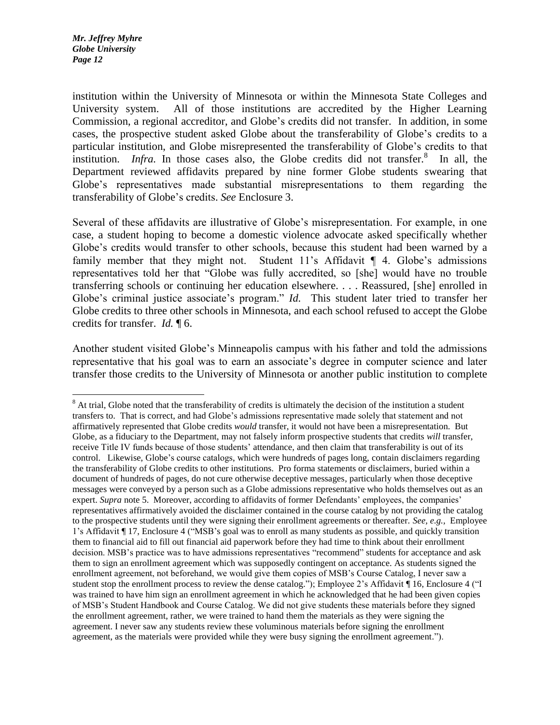$\overline{a}$ 

institution within the University of Minnesota or within the Minnesota State Colleges and University system. All of those institutions are accredited by the Higher Learning Commission, a regional accreditor, and Globe's credits did not transfer. In addition, in some cases, the prospective student asked Globe about the transferability of Globe's credits to a particular institution, and Globe misrepresented the transferability of Globe's credits to that institution. *Infra*. In those cases also, the Globe credits did not transfer.<sup>8</sup> In all, the Department reviewed affidavits prepared by nine former Globe students swearing that Globe's representatives made substantial misrepresentations to them regarding the transferability of Globe's credits. *See* Enclosure 3.

Several of these affidavits are illustrative of Globe's misrepresentation. For example, in one case, a student hoping to become a domestic violence advocate asked specifically whether Globe's credits would transfer to other schools, because this student had been warned by a family member that they might not. Student 11's Affidavit  $\P$  4. Globe's admissions representatives told her that "Globe was fully accredited, so [she] would have no trouble transferring schools or continuing her education elsewhere. . . . Reassured, [she] enrolled in Globe's criminal justice associate's program." *Id.* This student later tried to transfer her Globe credits to three other schools in Minnesota, and each school refused to accept the Globe credits for transfer. *Id.* ¶ 6.

Another student visited Globe's Minneapolis campus with his father and told the admissions representative that his goal was to earn an associate's degree in computer science and later transfer those credits to the University of Minnesota or another public institution to complete

<sup>&</sup>lt;sup>8</sup> At trial, Globe noted that the transferability of credits is ultimately the decision of the institution a student transfers to. That is correct, and had Globe's admissions representative made solely that statement and not affirmatively represented that Globe credits *would* transfer, it would not have been a misrepresentation. But Globe, as a fiduciary to the Department, may not falsely inform prospective students that credits *will* transfer, receive Title IV funds because of those students' attendance, and then claim that transferability is out of its control. Likewise, Globe's course catalogs, which were hundreds of pages long, contain disclaimers regarding the transferability of Globe credits to other institutions. Pro forma statements or disclaimers, buried within a document of hundreds of pages, do not cure otherwise deceptive messages, particularly when those deceptive messages were conveyed by a person such as a Globe admissions representative who holds themselves out as an expert. *Supra* note 5. Moreover, according to affidavits of former Defendants' employees, the companies' representatives affirmatively avoided the disclaimer contained in the course catalog by not providing the catalog to the prospective students until they were signing their enrollment agreements or thereafter. *See, e.g.,* Employee 1's Affidavit ¶ 17, Enclosure 4 ("MSB's goal was to enroll as many students as possible, and quickly transition them to financial aid to fill out financial aid paperwork before they had time to think about their enrollment decision. MSB's practice was to have admissions representatives "recommend" students for acceptance and ask them to sign an enrollment agreement which was supposedly contingent on acceptance. As students signed the enrollment agreement, not beforehand, we would give them copies of MSB's Course Catalog, I never saw a student stop the enrollment process to review the dense catalog."); Employee 2's Affidavit ¶ 16, Enclosure 4 ("I was trained to have him sign an enrollment agreement in which he acknowledged that he had been given copies of MSB's Student Handbook and Course Catalog. We did not give students these materials before they signed the enrollment agreement, rather, we were trained to hand them the materials as they were signing the agreement. I never saw any students review these voluminous materials before signing the enrollment agreement, as the materials were provided while they were busy signing the enrollment agreement.").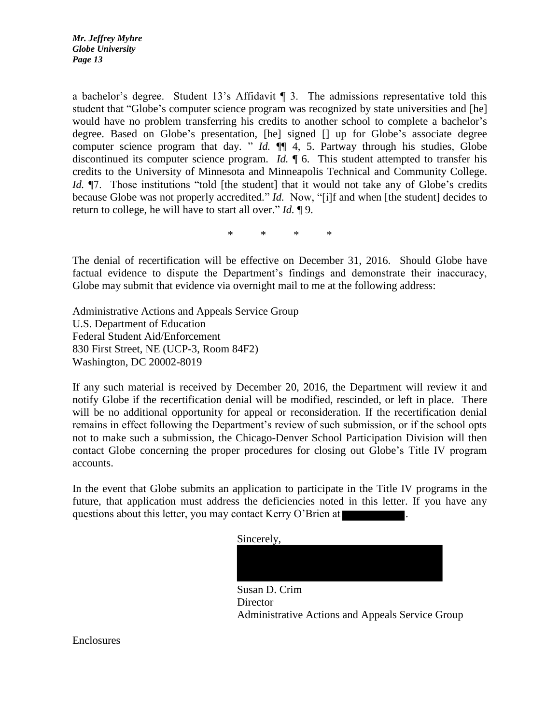a bachelor's degree. Student 13's Affidavit ¶ 3. The admissions representative told this student that "Globe's computer science program was recognized by state universities and [he] would have no problem transferring his credits to another school to complete a bachelor's degree. Based on Globe's presentation, [he] signed [] up for Globe's associate degree computer science program that day. " *Id.*  $\P$  4, 5. Partway through his studies, Globe discontinued its computer science program. *Id.*  $\parallel$  6. This student attempted to transfer his credits to the University of Minnesota and Minneapolis Technical and Community College. *Id.*  $\P$ 7. Those institutions "told [the student] that it would not take any of Globe's credits because Globe was not properly accredited." *Id.* Now, "[i]f and when [the student] decides to return to college, he will have to start all over." *Id.* ¶ 9.

\* \* \* \*

The denial of recertification will be effective on December 31, 2016. Should Globe have factual evidence to dispute the Department's findings and demonstrate their inaccuracy, Globe may submit that evidence via overnight mail to me at the following address:

Administrative Actions and Appeals Service Group U.S. Department of Education Federal Student Aid/Enforcement 830 First Street, NE (UCP-3, Room 84F2) Washington, DC 20002-8019

If any such material is received by December 20, 2016, the Department will review it and notify Globe if the recertification denial will be modified, rescinded, or left in place. There will be no additional opportunity for appeal or reconsideration. If the recertification denial remains in effect following the Department's review of such submission, or if the school opts not to make such a submission, the Chicago-Denver School Participation Division will then contact Globe concerning the proper procedures for closing out Globe's Title IV program accounts.

In the event that Globe submits an application to participate in the Title IV programs in the future, that application must address the deficiencies noted in this letter. If you have any questions about this letter, you may contact Kerry O'Brien at

Sincerely,

Susan D. Crim **Director** Administrative Actions and Appeals Service Group

Enclosures